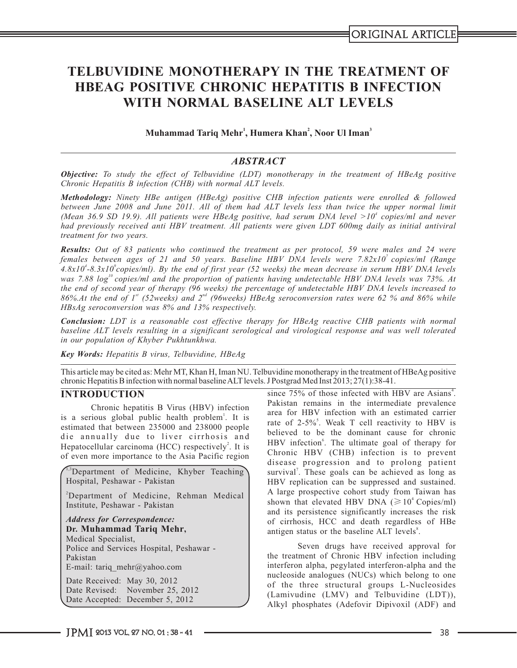# **TELBUVIDINE MONOTHERAPY IN THE TREATMENT OF HBEAG POSITIVE CHRONIC HEPATITIS B INFECTION WITH NORMAL BASELINE ALT LEVELS**

## **<sup>1</sup> <sup>2</sup> <sup>3</sup> Muhammad Tariq Mehr , Humera Khan , Noor Ul Iman**

### *ABSTRACT*

*Objective: To study the effect of Telbuvidine (LDT) monotherapy in the treatment of HBeAg positive Chronic Hepatitis B infection (CHB) with normal ALT levels.*

*Methodology: Ninety HBe antigen (HBeAg) positive CHB infection patients were enrolled & followed between June 2008 and June 2011. All of them had ALT levels less than twice the upper normal limit 4 (Mean 36.9 SD 19.9). All patients were HBeAg positive, had serum DNA level ˃10 copies/ml and never had previously received anti HBV treatment. All patients were given LDT 600mg daily as initial antiviral treatment for two years.*

*Results: Out of 83 patients who continued the treatment as per protocol, 59 were males and 24 were <sup>7</sup>females between ages of 21 and 50 years. Baseline HBV DNA levels were 7.82x10 copies/ml (Range 4 9 4.8x10 -8.3x10 copies/ml). By the end of first year (52 weeks) the mean decrease in serum HBV DNA levels was 7.88 log*<sup>10</sup> copies/ml and the proportion of patients having undetectable HBV DNA levels was 73%. At *the end of second year of therapy (96 weeks) the percentage of undetectable HBV DNA levels increased to st nd 86%.At the end of 1 (52weeks) and 2 (96weeks) HBeAg seroconversion rates were 62 % and 86% while HBsAg seroconversion was 8% and 13% respectively.*

*Conclusion: LDT is a reasonable cost effective therapy for HBeAg reactive CHB patients with normal baseline ALT levels resulting in a significant serological and virological response and was well tolerated in our population of Khyber Pukhtunkhwa.*

*Key Words: Hepatitis B virus, Telbuvidine, HBeAg*

This article may be cited as: Mehr MT, Khan H, Iman NU. Telbuvidine monotherapy in the treatment of HBeAg positive chronic Hepatitis B infection with normal baseline ALTlevels. J Postgrad Med Inst 2013; 27(1):38-41.

 $\frac{1}{100}$  is a serious global public health problem<sup>1</sup>. It is a serious global public health problem<sup>1</sup>. It is  $\frac{1}{100}$  is  $\frac{1}{100}$  is  $\frac{1}{100}$  is  $\frac{1}{100}$  is  $\frac{1}{100}$  is  $\frac{1}{100}$  is  $\frac{1}{100}$  is  $\frac$ estimated that between 235000 and 238000 people die annually due to liver cirrhosis and believed to be the dominant cause for chronic die annually due to liver cirrhosis and  $\frac{1}{2}$  HBV infection. The ultimate goal of t Hepatocellular carcinoma (HCC) respectively<sup>2</sup>. It is of even more importance to the Asia Pacific region

1,3 Department of Medicine, Khyber Teaching Hospital, Peshawar - Pakistan

<sup>2</sup>Department of Medicine, Rehman Medical Institute, Peshawar - Pakistan

**Dr. Muhammad Tariq Mehr,** *Address for Correspondence:*  Medical Specialist, Police and Services Hospital, Peshawar - Pakistan E-mail: tariq\_mehr@yahoo.com

Date Received: May 30, 2012 Date Revised: November 25, 2012 Date Accepted: December 5, 2012

**INTRODUCTION** since 75% of those infected with HBV are Asians<sup>4</sup>. Chronic hepatitis B Virus (HBV) infection<br>area for HBV infection with an estimated carrier rate of  $2-5\%$ <sup>5</sup>. Weak T cell reactivity to HBV is believed to be the dominant cause for chronic Chronic HBV (CHB) infection is to prevent disease progression and to prolong patient survival<sup>7</sup>. These goals can be achieved as long as HBV replication can be suppressed and sustained. A large prospective cohort study from Taiwan has shown that elevated HBV DNA ( $\geq 10^4$  Copies/ml) and its persistence significantly increases the risk of cirrhosis, HCC and death regardless of HBe antigen status or the baseline ALT levels<sup>8</sup>.

> Seven drugs have received approval for the treatment of Chronic HBV infection including interferon alpha, pegylated interferon-alpha and the nucleoside analogues (NUCs) which belong to one of the three structural groups L-Nucleosides (Lamivudine (LMV) and Telbuvidine (LDT)), Alkyl phosphates (Adefovir Dipivoxil (ADF) and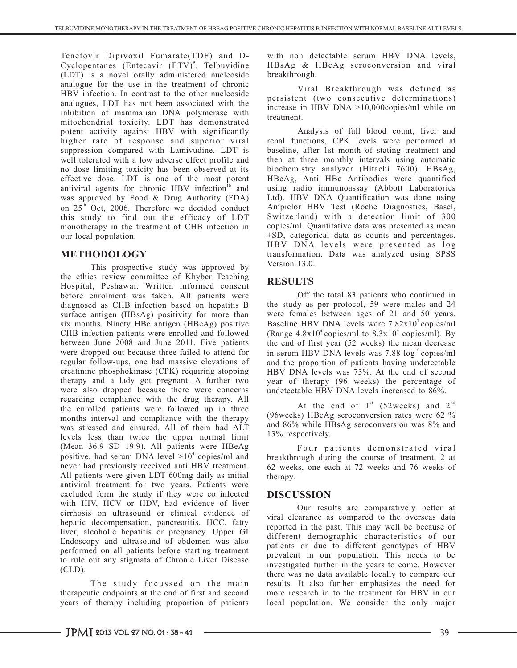Tenefovir Dipivoxil Fumarate(TDF) and D- with non detectable serum HBV DNA levels, Cyclopentanes (Entecavir (ETV)<sup>9</sup>. Telbuvidine HBsAg & HBeAg seroconversion and viral (LDT) is a novel orally administered nucleoside breakthrough. analogue for the use in the treatment of chronic Viral Breakthrough was defined as HBV infection. In contrast to the other nucleoside analogues, LDT has not been associated with the increase in HBV DNA >10,000copies/ml while on inhibition of mammalian DNA polymerase with treatment. mitochondrial toxicity. LDT has demonstrated potent activity against HBV with significantly Analysis of full blood count, liver and higher rate of response and superior viral renal functions, CPK levels were performed at suppression compared with Lamivudine. LDT is baseline, after 1st month of stating treatment and well tolerated with a low adverse effect profile and then at three monthly intervals using automatic no dose limiting toxicity has been observed at its biochemistry analyzer (Hitachi 7600). HBsAg, effective dose. LDT is one of the most potent HBeAg, Anti HBe Antibodies were quantified antiviral agents for chronic HBV infection<sup>10</sup> and using radio immunoassay (Abbott Laboratories antiviral agents for chronic HBV infection<sup>10</sup> and using radio immunoassay (Abbott Laboratories was approved by Food & Drug Authority (FDA) Ltd). HBV DNA Quantification was done using<br>on 25<sup>th</sup> Oct. 2006. Therefore we decided conduct Ampiclor HBV Test (Roche Diagnostics, Basel, on 25<sup>th</sup> Oct, 2006. Therefore we decided conduct Ampiclor HBV Test (Roche Diagnostics, Basel, this study to find out the efficacy of LDT Switzerland) with a detection limit of 300 monotherapy in the treatment of CHB infection in copies/ml. Quantitative data was presented as mean monotherapy in the treatment of CHB infection in our local population. ±SD, categorical data as counts and percentages.

This prospective study was approved by the ethics review committee of Khyber Teaching **RESULTS** Hospital, Peshawar. Written informed consent before enrolment was taken. All patients were Off the total 83 patients who continued in diagnosed as CHB infection based on hepatitis B the study as per protocol, 59 were males and 24 surface antigen (HBsAg) positivity for more than were females between ages of 21 and 50 years. six months. Ninety HBe antigen (HBeAg) positive Baseline HBV DNA levels were 7.82x10<sup>7</sup> copies/ml  $\text{CHB}\text{ infection patients were enrolled and followed}$  (Range  $4.8 \times 10^4 \text{ copies/ml}$  to  $8.3 \times 10^9 \text{ copies/ml}$ ). By between June 2008 and June 2011. Five patients the end of first vear (52 weeks) the mean decrease between June 2008 and June 2011. Five patients the end of first year (52 weeks) the mean decrease were dropped out because three failed to attend for in serum HBV DNA levels was 7.88 log<sup>10</sup> copies/ml were dropped out because three failed to attend for in serum HBV DNA levels was 7.88  $\log^{10}$  copies/ml regular follow-ups, one had massive elevations of and the proportion of patients having undetectable creatinine phosphokinase (CPK) requiring stopping HBV DNA levels was 73%. At the end of second therapy and a lady got pregnant. A further two vear of therapy (96 weeks) the percentage of therapy and a lady got pregnant. A further two year of therapy (96 weeks) the percentage of were also dropped because there were concerns undetectable HBV DNA levels increased to 86%. regarding compliance with the drug therapy. All streamling compliance with the drug therapy. The the end of  $1^{st}$  (52weeks) and  $2^{nd}$ <br>the enrolled patients were followed up in three (96weeks) HBeAg seroconversion rates were 62 % months interval and compliance with the therapy (96 weeks) HBeAg seroconversion rates were 62 % onther value of them had  $\Delta T$  and 86% while HBsAg seroconversion was 8% and was stressed and ensured. All of them had ALT levels less than twice the upper normal limit (Mean 36.9 SD 19.9). All patients were HBeAg Four patients demonstrated viral positive, had serum DNA level  $>10^4$  copies/ml and positive, had serum DNA level >10<sup>t</sup> copies/ml and breakthrough during the course of treatment, 2 at never had previously received anti HBV treatment. 62 weeks, one each at 72 weeks and 76 weeks of All patients were given LDT 600mg daily as initial therapy. antiviral treatment for two years. Patients were excluded form the study if they were co infected **DISCUSSION** with HIV, HCV or HDV, had evidence of liver our results are comparatively better at cirrhosis on ultrasound or clinical evidence of entified to the overseas data hepatic decompensation, pancreatitis, HCC, fatty and clearance as compared to the overseas data hepatic decompensation, pancreatitis, HCC, fatty and clearance as compared to the overseas data reported in the past. This may well be because of liver, alcoholic hepatitis or pregnancy. Upper GI different demographic characteristics of our Endoscopy and ultrasound of abdomen was also performed on all patients before starting treatment to rule out any stigmata of Chronic Liver Disease investigated further in the years to come. However (CLD).

therapeutic endpoints at the end of first and second more research in to the treatment for HBV in our years of therapy including proportion of patients local population. We consider the only major years of therapy including proportion of patients

persistent (two consecutive determinations)

baseline, after 1st month of stating treatment and HBV DNA levels were presented as log **METHODOLOGY** transformation. Data was analyzed using SPSS

and the proportion of patients having undetectable undetectable HBV DNA levels increased to  $86%$ .

13% respectively.

62 weeks, one each at 72 weeks and 76 weeks of

patients or due to different genotypes of HBV prevalent in our population. This needs to be there was no data available locally to compare our The study focussed on the main results. It also further emphasizes the need for the endpoints at the end of first and second more research in to the treatment for HBV in our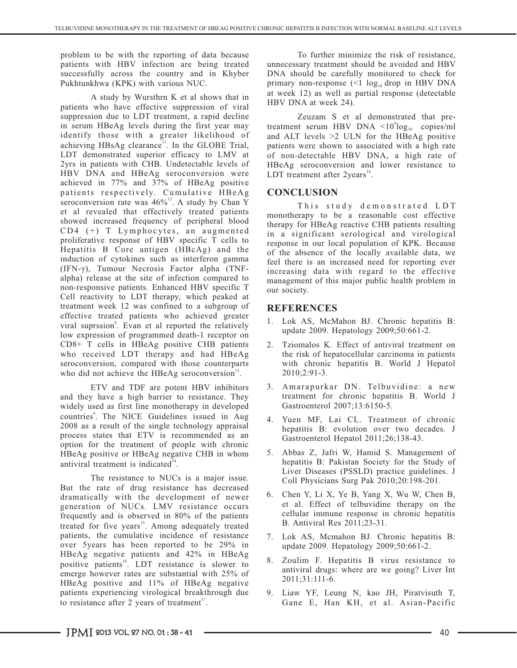problem to be with the reporting of data because To further minimize the risk of resistance, patients with HBV infection are being treated unnecessary treatment should be avoided and HBV successfully across the country and in Khyber DNA should be carefully monitored to check for successfully across the country and in Khyber DNA should be carefully monitored to check for Pukhtunkhwa (KPK) with various NUC.

patients who have effective suppression of viral suppression due to LDT treatment, a rapid decline  $Z$ euzam S et al demonstrated that pre-<br>in serum HBeAg levels during the first year may treatment serum HBV DNA <10 $^{\circ}$ log<sub>10</sub> copies/ml in serum HBeAg levels during the first year may treatment serum HBV DNA  $\leq 10^9 \log_{10}$  copies/ml identify those with a greater likelihood of and ALT levels >2 ULN for the HBeAg positive 11 . achieving HBsAg clearance<sup>11</sup>. In the GLOBE Trial, patients were shown to associated with a high rate LDT demonstrated superior efficacy to LMV at of non-detectable HBV DNA, a high rate of LDT demonstrated superior efficacy to LMV at of non-detectable HBV DNA, a high rate of 2yrs in patients with CHB. Undetectable levels of HBeAg seroconversion and lower resistance to HBV DNA and HBeAg seroconversion were LDT treatment after 2years<sup>18</sup>. achieved in 77% and 37% of HBeAg positive patients respectively. Cumulative HBeAg **CONCLUSION**<br>seroconversion rate was 46%<sup>12</sup>. A study by Chan Y seroconversion rate was 46%. A study by Chan Y This study demonstrated LDT<br>et al revealed that effectively treated patients monotherany to be a reasonable east effective showed increased frequency of peripheral blood therapy for HBeAg reactive CHB patients resulting  $CD4$  (+) T Lymphocytes, an augmented proliferative response of HBV specific T cells to<br>Hepatitis B Core antigen (HBcAg) and the of the absence of the locally available data we Hepatitis B Core antigen (HBcAg) and the of the absence of the locally available data, we<br>induction of cytokines such as interferon gamma (IFN-γ), Tumour Necrosis Factor alpha (TNFalpha) release at the site of infection compared to management of this major public health problem in non-responsive patients. Enhanced HBV specific T our society. Cell reactivity to LDT therapy, which peaked at treatment week 12 was confined to a subgroup of **REFERENCES** effective treated patients who achieved greater viral suprssion<sup>6</sup>. Evan et al reported the relatively low expression of programmed death-1 receptor on CD8+ T cells in HBeAg positive CHB patients who received LDT therapy and had HBeAg seroconversion, compared with those counterparts who did not achieve the HBeAg seroconversion $\mathbf{B}^3$ .

ETV and TDF are potent HBV inhibitors and they have a high barrier to resistance. They widely used as first line monotherapy in developed countries<sup>4</sup>. The NICE Guidelines issued in Aug 2008 as a result of the single technology appraisal process states that ETV is recommended as an option for the treatment of people with chronic HBeAg positive or HBeAg negative CHB in whom antiviral treatment is indicated<sup>14</sup>.

The resistance to NUCs is a major issue. But the rate of drug resistance has decreased dramatically with the development of newer generation of NUCs. LMV resistance occurs frequently and is observed in 80% of the patients treated for five years<sup>15</sup>. Among adequately treated patients, the cumulative incidence of resistance over 5years has been reported to be 29% in HBeAg negative patients and 42% in HBeAg positive patients<sup>16</sup>. LDT resistance is slower to emerge however rates are substantial with 25% of HBeAg positive and 11% of HBeAg negative patients experiencing virological breakthrough due to resistance after 2 years of treatment<sup>17</sup>.

primary non-response ( $\leq 1$  log<sub>10</sub> drop in HBV DNA A study by Wursthrn K et al shows that in  $\alpha$  at week 12) as well as partial response (detectable HBV DNA at week 24).

HBeAg seroconversion and lower resistance to

monotherapy to be a reasonable cost effective in a significant serological and virological feel there is an increased need for reporting ever increasing data with regard to the effective

- 1. Lok AS, McMahon BJ. Chronic hepatitis B: update 2009. Hepatology 2009;50:661-2.
- 2. Tziomalos K. Effect of antiviral treatment on the risk of hepatocellular carcinoma in patients with chronic hepatitis B. World J Hepatol 2010;2:91-3.
- 3. Amarapurkar DN. Telbuvidine: a new treatment for chronic hepatitis B. World J Gastroenterol 2007;13:6150-5.
- 4. Yuen MF, Lai CL. Treatment of chronic hepatitis B: evolution over two decades. J Gastroenterol Hepatol 2011;26;138-43.
- 5. Abbas Z, Jafri W, Hamid S. Management of hepatitis B: Pakistan Society for the Study of Liver Diseases (PSSLD) practice guidelines. J Coll Physicians Surg Pak 2010;20:198-201.
- 6. Chen Y, Li X, Ye B, Yang X, Wu W, Chen B, et al. Effect of telbuvidine therapy on the cellular immune response in chronic hepatitis B. Antiviral Res 2011;23-31.
- 7. Lok AS, Mcmahon BJ. Chronic hepatitis B: update 2009. Hepatology 2009;50:661-2.
- 8. Zoulim F. Hepatitis B virus resistance to antiviral drugs: where are we going? Liver Int 2011;31:111-6.
- 9. Liaw YF, Leung N, kao JH, Piratvisuth T, Gane E, Han KH, et al. Asian-Pacific